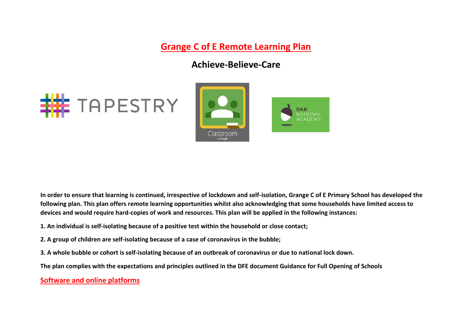**Grange C of E Remote Learning Plan**

# **Achieve-Believe-Care**





**In order to ensure that learning is continued, irrespective of lockdown and self-isolation, Grange C of E Primary School has developed the following plan. This plan offers remote learning opportunities whilst also acknowledging that some households have limited access to devices and would require hard-copies of work and resources. This plan will be applied in the following instances:** 

- **1. An individual is self-isolating because of a positive test within the household or close contact;**
- **2. A group of children are self-isolating because of a case of coronavirus in the bubble;**
- **3. A whole bubble or cohort is self-isolating because of an outbreak of coronavirus or due to national lock down.**

**The plan complies with the expectations and principles outlined in the DFE document Guidance for Full Opening of Schools** 

## **Software and online platforms**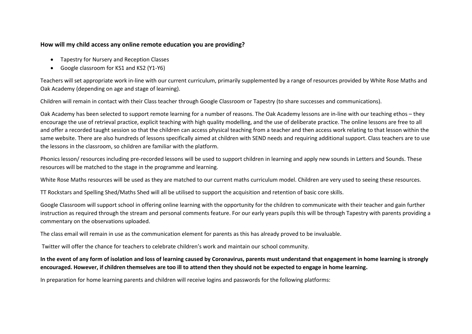#### **How will my child access any online remote education you are providing?**

- Tapestry for Nursery and Reception Classes
- Google classroom for KS1 and KS2 (Y1-Y6)

Teachers will set appropriate work in-line with our current curriculum, primarily supplemented by a range of resources provided by White Rose Maths and Oak Academy (depending on age and stage of learning).

Children will remain in contact with their Class teacher through Google Classroom or Tapestry (to share successes and communications).

Oak Academy has been selected to support remote learning for a number of reasons. The Oak Academy lessons are in-line with our teaching ethos – they encourage the use of retrieval practice, explicit teaching with high quality modelling, and the use of deliberate practice. The online lessons are free to all and offer a recorded taught session so that the children can access physical teaching from a teacher and then access work relating to that lesson within the same website. There are also hundreds of lessons specifically aimed at children with SEND needs and requiring additional support. Class teachers are to use the lessons in the classroom, so children are familiar with the platform.

Phonics lesson/ resources including pre-recorded lessons will be used to support children in learning and apply new sounds in Letters and Sounds. These resources will be matched to the stage in the programme and learning.

White Rose Maths resources will be used as they are matched to our current maths curriculum model. Children are very used to seeing these resources.

TT Rockstars and Spelling Shed/Maths Shed will all be utilised to support the acquisition and retention of basic core skills.

Google Classroom will support school in offering online learning with the opportunity for the children to communicate with their teacher and gain further instruction as required through the stream and personal comments feature. For our early years pupils this will be through Tapestry with parents providing a commentary on the observations uploaded.

The class email will remain in use as the communication element for parents as this has already proved to be invaluable.

Twitter will offer the chance for teachers to celebrate children's work and maintain our school community.

#### **In the event of any form of isolation and loss of learning caused by Coronavirus, parents must understand that engagement in home learning is strongly encouraged. However, if children themselves are too ill to attend then they should not be expected to engage in home learning.**

In preparation for home learning parents and children will receive logins and passwords for the following platforms: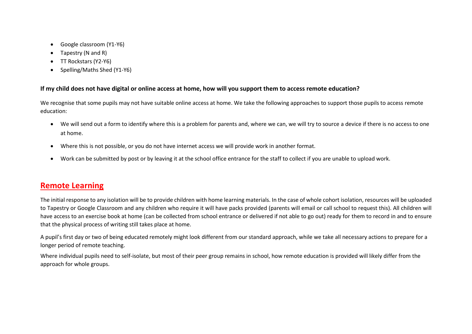- Google classroom (Y1-Y6)
- Tapestry (N and R)
- TT Rockstars (Y2-Y6)
- Spelling/Maths Shed (Y1-Y6)

#### **If my child does not have digital or online access at home, how will you support them to access remote education?**

We recognise that some pupils may not have suitable online access at home. We take the following approaches to support those pupils to access remote education:

- We will send out a form to identify where this is a problem for parents and, where we can, we will try to source a device if there is no access to one at home.
- Where this is not possible, or you do not have internet access we will provide work in another format.
- Work can be submitted by post or by leaving it at the school office entrance for the staff to collect if you are unable to upload work.

## **Remote Learning**

The initial response to any isolation will be to provide children with home learning materials. In the case of whole cohort isolation, resources will be uploaded to Tapestry or Google Classroom and any children who require it will have packs provided (parents will email or call school to request this). All children will have access to an exercise book at home (can be collected from school entrance or delivered if not able to go out) ready for them to record in and to ensure that the physical process of writing still takes place at home.

A pupil's first day or two of being educated remotely might look different from our standard approach, while we take all necessary actions to prepare for a longer period of remote teaching.

Where individual pupils need to self-isolate, but most of their peer group remains in school, how remote education is provided will likely differ from the approach for whole groups.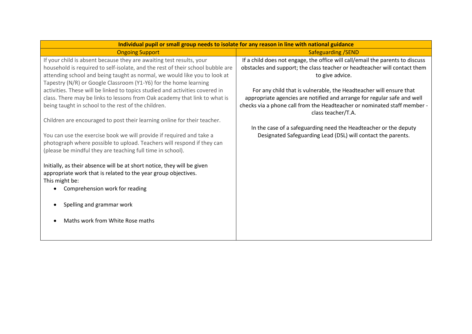| Individual pupil or small group needs to isolate for any reason in line with national guidance |                                                                                                |  |
|------------------------------------------------------------------------------------------------|------------------------------------------------------------------------------------------------|--|
| <b>Ongoing Support</b>                                                                         | <b>Safeguarding /SEND</b>                                                                      |  |
| If your child is absent because they are awaiting test results, your                           | If a child does not engage, the office will call/email the parents to discuss                  |  |
| household is required to self-isolate, and the rest of their school bubble are                 | obstacles and support; the class teacher or headteacher will contact them                      |  |
| attending school and being taught as normal, we would like you to look at                      | to give advice.                                                                                |  |
| Tapestry (N/R) or Google Classroom (Y1-Y6) for the home learning                               |                                                                                                |  |
| activities. These will be linked to topics studied and activities covered in                   | For any child that is vulnerable, the Headteacher will ensure that                             |  |
| class. There may be links to lessons from Oak academy that link to what is                     | appropriate agencies are notified and arrange for regular safe and well                        |  |
| being taught in school to the rest of the children.                                            | checks via a phone call from the Headteacher or nominated staff member -<br>class teacher/T.A. |  |
| Children are encouraged to post their learning online for their teacher.                       |                                                                                                |  |
|                                                                                                | In the case of a safeguarding need the Headteacher or the deputy                               |  |
| You can use the exercise book we will provide if required and take a                           | Designated Safeguarding Lead (DSL) will contact the parents.                                   |  |
| photograph where possible to upload. Teachers will respond if they can                         |                                                                                                |  |
| (please be mindful they are teaching full time in school).                                     |                                                                                                |  |
|                                                                                                |                                                                                                |  |
| Initially, as their absence will be at short notice, they will be given                        |                                                                                                |  |
| appropriate work that is related to the year group objectives.                                 |                                                                                                |  |
| This might be:                                                                                 |                                                                                                |  |
| Comprehension work for reading                                                                 |                                                                                                |  |
|                                                                                                |                                                                                                |  |
| Spelling and grammar work                                                                      |                                                                                                |  |
| Maths work from White Rose maths                                                               |                                                                                                |  |
|                                                                                                |                                                                                                |  |
|                                                                                                |                                                                                                |  |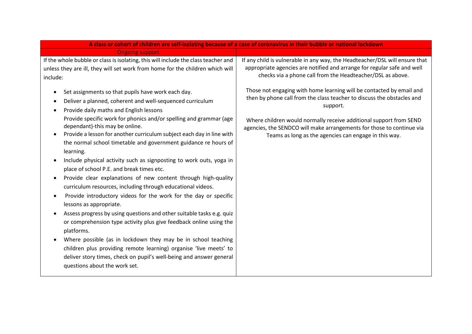| A class or cohort of children are self-isolating because of a case of coronavirus in their bubble or national lockdown                                                                                                                                                             |                                                                                                                                                                                                                                                                                              |
|------------------------------------------------------------------------------------------------------------------------------------------------------------------------------------------------------------------------------------------------------------------------------------|----------------------------------------------------------------------------------------------------------------------------------------------------------------------------------------------------------------------------------------------------------------------------------------------|
| <b>Ongoing support</b>                                                                                                                                                                                                                                                             |                                                                                                                                                                                                                                                                                              |
| If the whole bubble or class is isolating, this will include the class teacher and<br>unless they are ill, they will set work from home for the children which will<br>include:                                                                                                    | If any child is vulnerable in any way, the Headteacher/DSL will ensure that<br>appropriate agencies are notified and arrange for regular safe and well<br>checks via a phone call from the Headteacher/DSL as above.<br>Those not engaging with home learning will be contacted by email and |
| Set assignments so that pupils have work each day.<br>Deliver a planned, coherent and well-sequenced curriculum<br>$\bullet$<br>Provide daily maths and English lessons<br>$\bullet$<br>Provide specific work for phonics and/or spelling and grammar (age                         | then by phone call from the class teacher to discuss the obstacles and<br>support.                                                                                                                                                                                                           |
| dependant)-this may be online.<br>Provide a lesson for another curriculum subject each day in line with<br>$\bullet$<br>the normal school timetable and government guidance re hours of<br>learning.                                                                               | Where children would normally receive additional support from SEND<br>agencies, the SENDCO will make arrangements for those to continue via<br>Teams as long as the agencies can engage in this way.                                                                                         |
| Include physical activity such as signposting to work outs, yoga in<br>$\bullet$<br>place of school P.E. and break times etc.<br>Provide clear explanations of new content through high-quality<br>$\bullet$<br>curriculum resources, including through educational videos.        |                                                                                                                                                                                                                                                                                              |
| Provide introductory videos for the work for the day or specific<br>$\bullet$<br>lessons as appropriate.<br>Assess progress by using questions and other suitable tasks e.g. quiz<br>$\bullet$<br>or comprehension type activity plus give feedback online using the<br>platforms. |                                                                                                                                                                                                                                                                                              |
| Where possible (as in lockdown they may be in school teaching<br>children plus providing remote learning) organise 'live meets' to<br>deliver story times, check on pupil's well-being and answer general<br>questions about the work set.                                         |                                                                                                                                                                                                                                                                                              |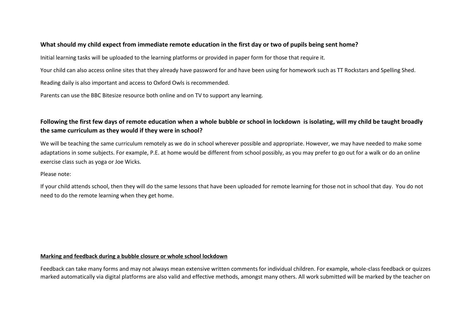#### **What should my child expect from immediate remote education in the first day or two of pupils being sent home?**

Initial learning tasks will be uploaded to the learning platforms or provided in paper form for those that require it.

Your child can also access online sites that they already have password for and have been using for homework such as TT Rockstars and Spelling Shed.

Reading daily is also important and access to Oxford Owls is recommended.

Parents can use the BBC Bitesize resource both online and on TV to support any learning.

## **Following the first few days of remote education when a whole bubble or school in lockdown is isolating, will my child be taught broadly the same curriculum as they would if they were in school?**

We will be teaching the same curriculum remotely as we do in school wherever possible and appropriate. However, we may have needed to make some adaptations in some subjects. For example, P.E. at home would be different from school possibly, as you may prefer to go out for a walk or do an online exercise class such as yoga or Joe Wicks.

#### Please note:

If your child attends school, then they will do the same lessons that have been uploaded for remote learning for those not in school that day. You do not need to do the remote learning when they get home.

#### **Marking and feedback during a bubble closure or whole school lockdown**

Feedback can take many forms and may not always mean extensive written comments for individual children. For example, whole-class feedback or quizzes marked automatically via digital platforms are also valid and effective methods, amongst many others. All work submitted will be marked by the teacher on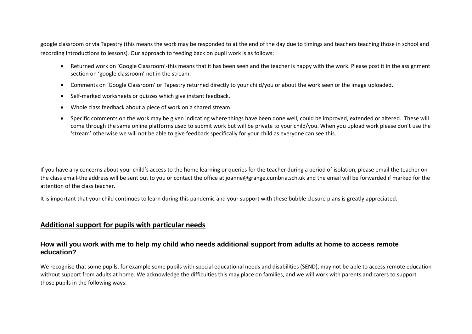google classroom or via Tapestry (this means the work may be responded to at the end of the day due to timings and teachers teaching those in school and recording introductions to lessons). Our approach to feeding back on pupil work is as follows:

- Returned work on 'Google Classroom'-this means that it has been seen and the teacher is happy with the work. Please post it in the assignment section on 'google classroom' not in the stream.
- Comments on 'Google Classroom' or Tapestry returned directly to your child/you or about the work seen or the image uploaded.
- Self-marked worksheets or quizzes which give instant feedback.
- Whole class feedback about a piece of work on a shared stream.
- Specific comments on the work may be given indicating where things have been done well, could be improved, extended or altered. These will come through the same online platforms used to submit work but will be private to your child/you. When you upload work please don't use the 'stream' otherwise we will not be able to give feedback specifically for your child as everyone can see this.

If you have any concerns about your child's access to the home learning or queries for the teacher during a period of isolation, please email the teacher on the class email-the address will be sent out to you or contact the office at joanne@grange.cumbria.sch.uk and the email will be forwarded if marked for the attention of the class teacher.

It is important that your child continues to learn during this pandemic and your support with these bubble closure plans is greatly appreciated.

## **Additional support for pupils with particular needs**

#### **How will you work with me to help my child who needs additional support from adults at home to access remote education?**

We recognise that some pupils, for example some pupils with special educational needs and disabilities (SEND), may not be able to access remote education without support from adults at home. We acknowledge the difficulties this may place on families, and we will work with parents and carers to support those pupils in the following ways: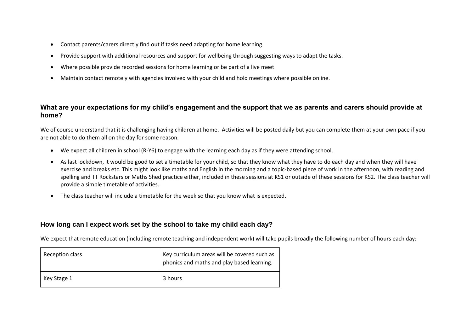- Contact parents/carers directly find out if tasks need adapting for home learning.
- Provide support with additional resources and support for wellbeing through suggesting ways to adapt the tasks.
- Where possible provide recorded sessions for home learning or be part of a live meet.
- Maintain contact remotely with agencies involved with your child and hold meetings where possible online.

### **What are your expectations for my child's engagement and the support that we as parents and carers should provide at home?**

We of course understand that it is challenging having children at home. Activities will be posted daily but you can complete them at your own pace if you are not able to do them all on the day for some reason.

- We expect all children in school (R-Y6) to engage with the learning each day as if they were attending school.
- As last lockdown, it would be good to set a timetable for your child, so that they know what they have to do each day and when they will have exercise and breaks etc. This might look like maths and English in the morning and a topic-based piece of work in the afternoon, with reading and spelling and TT Rockstars or Maths Shed practice either, included in these sessions at KS1 or outside of these sessions for KS2. The class teacher will provide a simple timetable of activities.
- The class teacher will include a timetable for the week so that you know what is expected.

## **How long can I expect work set by the school to take my child each day?**

We expect that remote education (including remote teaching and independent work) will take pupils broadly the following number of hours each day:

| Reception class | Key curriculum areas will be covered such as<br>phonics and maths and play based learning. |
|-----------------|--------------------------------------------------------------------------------------------|
| Key Stage 1     | 3 hours                                                                                    |